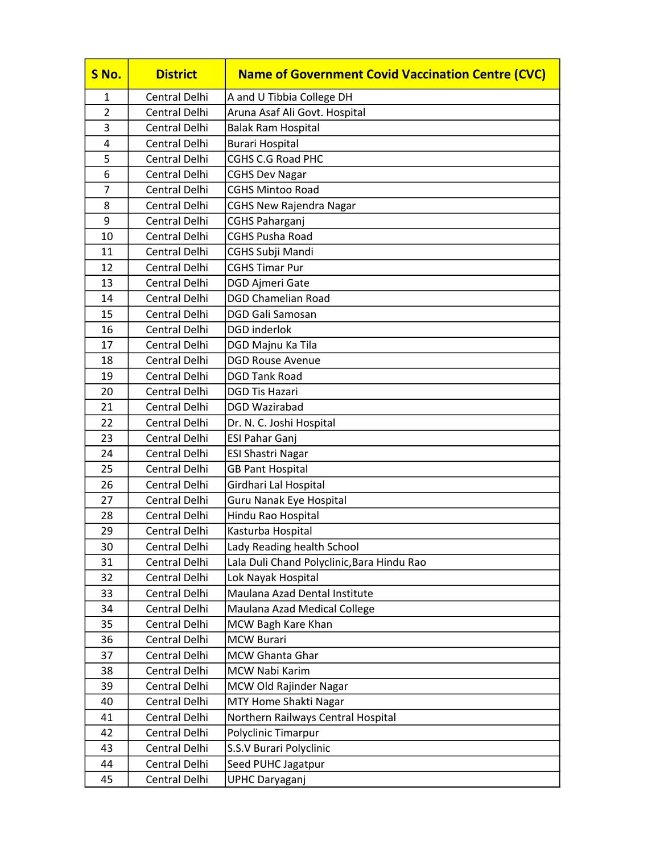| S No.          | <b>District</b>                | <b>Name of Government Covid Vaccination Centre (CVC)</b> |
|----------------|--------------------------------|----------------------------------------------------------|
| 1              | <b>Central Delhi</b>           | A and U Tibbia College DH                                |
| $\overline{2}$ | <b>Central Delhi</b>           | Aruna Asaf Ali Govt. Hospital                            |
| 3              | Central Delhi                  | <b>Balak Ram Hospital</b>                                |
| 4              | <b>Central Delhi</b>           | <b>Burari Hospital</b>                                   |
| 5              | Central Delhi                  | <b>CGHS C.G Road PHC</b>                                 |
| 6              | Central Delhi                  | <b>CGHS Dev Nagar</b>                                    |
| $\overline{7}$ | Central Delhi                  | <b>CGHS Mintoo Road</b>                                  |
| 8              | Central Delhi                  | <b>CGHS New Rajendra Nagar</b>                           |
| 9              | <b>Central Delhi</b>           | <b>CGHS Paharganj</b>                                    |
| 10             | Central Delhi                  | <b>CGHS Pusha Road</b>                                   |
| 11             | Central Delhi                  | CGHS Subji Mandi                                         |
| 12             | <b>Central Delhi</b>           | <b>CGHS Timar Pur</b>                                    |
| 13             | Central Delhi                  | DGD Ajmeri Gate                                          |
| 14             | Central Delhi                  | <b>DGD Chamelian Road</b>                                |
| 15             | Central Delhi                  | <b>DGD Gali Samosan</b>                                  |
| 16             | Central Delhi                  | <b>DGD</b> inderlok                                      |
| 17             | Central Delhi                  | DGD Majnu Ka Tila                                        |
| 18             | Central Delhi                  | <b>DGD Rouse Avenue</b>                                  |
| 19             | <b>Central Delhi</b>           | <b>DGD Tank Road</b>                                     |
| 20             | Central Delhi                  | <b>DGD Tis Hazari</b>                                    |
| 21             | Central Delhi                  | DGD Wazirabad                                            |
| 22             | Central Delhi                  | Dr. N. C. Joshi Hospital                                 |
| 23             | Central Delhi                  | <b>ESI Pahar Ganj</b>                                    |
| 24             | <b>Central Delhi</b>           | <b>ESI Shastri Nagar</b>                                 |
| 25             | Central Delhi                  | <b>GB Pant Hospital</b>                                  |
| 26             | Central Delhi                  | Girdhari Lal Hospital                                    |
| 27             | <b>Central Delhi</b>           | Guru Nanak Eye Hospital                                  |
| 28             | Central Delhi                  | Hindu Rao Hospital                                       |
| 29             | Central Delhi                  | Kasturba Hospital                                        |
| 30             | Central Delhi                  | Lady Reading health School                               |
| 31             | Central Delhi                  | Lala Duli Chand Polyclinic, Bara Hindu Rao               |
| 32             | Central Delhi                  | Lok Nayak Hospital                                       |
| 33             | Central Delhi                  | Maulana Azad Dental Institute                            |
| 34             | Central Delhi                  | Maulana Azad Medical College                             |
| 35             | Central Delhi                  | MCW Bagh Kare Khan                                       |
| 36             | Central Delhi                  | <b>MCW Burari</b>                                        |
| 37<br>38       | Central Delhi<br>Central Delhi | <b>MCW Ghanta Ghar</b><br>MCW Nabi Karim                 |
|                |                                |                                                          |
| 39<br>40       | Central Delhi<br>Central Delhi | MCW Old Rajinder Nagar<br>MTY Home Shakti Nagar          |
| 41             | Central Delhi                  | Northern Railways Central Hospital                       |
| 42             | Central Delhi                  | Polyclinic Timarpur                                      |
| 43             | Central Delhi                  | S.S.V Burari Polyclinic                                  |
| 44             | Central Delhi                  | Seed PUHC Jagatpur                                       |
| 45             | Central Delhi                  |                                                          |
|                |                                | <b>UPHC Daryaganj</b>                                    |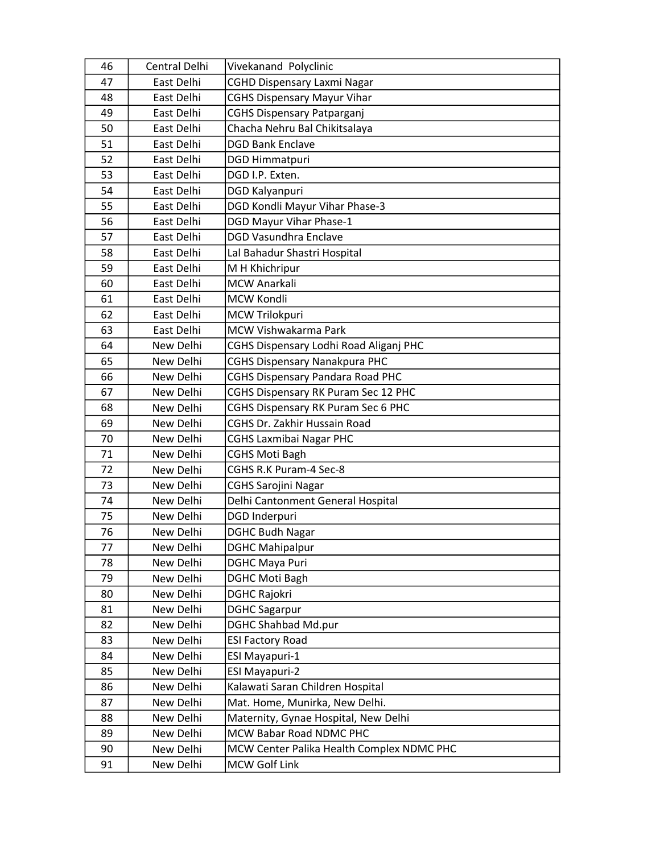| 46 | Central Delhi | Vivekanand Polyclinic                     |
|----|---------------|-------------------------------------------|
| 47 | East Delhi    | <b>CGHD Dispensary Laxmi Nagar</b>        |
| 48 | East Delhi    | <b>CGHS Dispensary Mayur Vihar</b>        |
| 49 | East Delhi    | <b>CGHS Dispensary Patparganj</b>         |
| 50 | East Delhi    | Chacha Nehru Bal Chikitsalaya             |
| 51 | East Delhi    | <b>DGD Bank Enclave</b>                   |
| 52 | East Delhi    | <b>DGD Himmatpuri</b>                     |
| 53 | East Delhi    | DGD I.P. Exten.                           |
| 54 | East Delhi    | DGD Kalyanpuri                            |
| 55 | East Delhi    | DGD Kondli Mayur Vihar Phase-3            |
| 56 | East Delhi    | DGD Mayur Vihar Phase-1                   |
| 57 | East Delhi    | <b>DGD Vasundhra Enclave</b>              |
| 58 | East Delhi    | Lal Bahadur Shastri Hospital              |
| 59 | East Delhi    | M H Khichripur                            |
| 60 | East Delhi    | <b>MCW Anarkali</b>                       |
| 61 | East Delhi    | <b>MCW Kondli</b>                         |
| 62 | East Delhi    | MCW Trilokpuri                            |
| 63 | East Delhi    | <b>MCW Vishwakarma Park</b>               |
| 64 | New Delhi     | CGHS Dispensary Lodhi Road Aliganj PHC    |
| 65 | New Delhi     | <b>CGHS Dispensary Nanakpura PHC</b>      |
| 66 | New Delhi     | <b>CGHS Dispensary Pandara Road PHC</b>   |
| 67 | New Delhi     | CGHS Dispensary RK Puram Sec 12 PHC       |
| 68 | New Delhi     | CGHS Dispensary RK Puram Sec 6 PHC        |
| 69 | New Delhi     | CGHS Dr. Zakhir Hussain Road              |
| 70 | New Delhi     | <b>CGHS Laxmibai Nagar PHC</b>            |
| 71 | New Delhi     | <b>CGHS Moti Bagh</b>                     |
| 72 | New Delhi     | CGHS R.K Puram-4 Sec-8                    |
| 73 | New Delhi     | <b>CGHS Sarojini Nagar</b>                |
| 74 | New Delhi     | Delhi Cantonment General Hospital         |
| 75 | New Delhi     | DGD Inderpuri                             |
| 76 | New Delhi     | <b>DGHC Budh Nagar</b>                    |
| 77 | New Delhi     | <b>DGHC Mahipalpur</b>                    |
| 78 | New Delhi     | <b>DGHC Maya Puri</b>                     |
| 79 | New Delhi     | <b>DGHC Moti Bagh</b>                     |
| 80 | New Delhi     | <b>DGHC Rajokri</b>                       |
| 81 | New Delhi     | <b>DGHC Sagarpur</b>                      |
| 82 | New Delhi     | <b>DGHC Shahbad Md.pur</b>                |
| 83 | New Delhi     | <b>ESI Factory Road</b>                   |
| 84 | New Delhi     | <b>ESI Mayapuri-1</b>                     |
| 85 | New Delhi     | <b>ESI Mayapuri-2</b>                     |
| 86 | New Delhi     | Kalawati Saran Children Hospital          |
| 87 | New Delhi     | Mat. Home, Munirka, New Delhi.            |
| 88 | New Delhi     | Maternity, Gynae Hospital, New Delhi      |
| 89 | New Delhi     | MCW Babar Road NDMC PHC                   |
| 90 | New Delhi     | MCW Center Palika Health Complex NDMC PHC |
| 91 | New Delhi     | <b>MCW Golf Link</b>                      |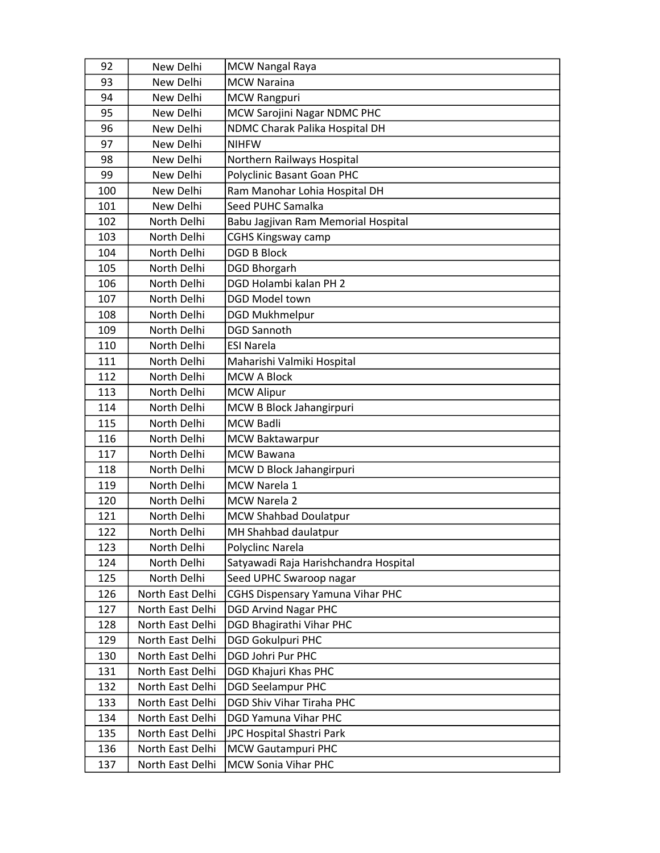| 92  | New Delhi        | MCW Nangal Raya                         |
|-----|------------------|-----------------------------------------|
| 93  | New Delhi        | <b>MCW Naraina</b>                      |
| 94  | New Delhi        | <b>MCW Rangpuri</b>                     |
| 95  | New Delhi        | MCW Sarojini Nagar NDMC PHC             |
| 96  | New Delhi        | NDMC Charak Palika Hospital DH          |
| 97  | New Delhi        | <b>NIHFW</b>                            |
| 98  | New Delhi        | Northern Railways Hospital              |
| 99  | New Delhi        | Polyclinic Basant Goan PHC              |
| 100 | New Delhi        | Ram Manohar Lohia Hospital DH           |
| 101 | New Delhi        | Seed PUHC Samalka                       |
| 102 | North Delhi      | Babu Jagjivan Ram Memorial Hospital     |
| 103 | North Delhi      | <b>CGHS Kingsway camp</b>               |
| 104 | North Delhi      | <b>DGD B Block</b>                      |
| 105 | North Delhi      | <b>DGD Bhorgarh</b>                     |
| 106 | North Delhi      | DGD Holambi kalan PH 2                  |
| 107 | North Delhi      | DGD Model town                          |
| 108 | North Delhi      | <b>DGD Mukhmelpur</b>                   |
| 109 | North Delhi      | <b>DGD Sannoth</b>                      |
| 110 | North Delhi      | <b>ESI Narela</b>                       |
| 111 | North Delhi      | Maharishi Valmiki Hospital              |
| 112 | North Delhi      | <b>MCW A Block</b>                      |
| 113 | North Delhi      | <b>MCW Alipur</b>                       |
| 114 | North Delhi      | MCW B Block Jahangirpuri                |
| 115 | North Delhi      | <b>MCW Badli</b>                        |
| 116 | North Delhi      | <b>MCW Baktawarpur</b>                  |
| 117 | North Delhi      | <b>MCW Bawana</b>                       |
| 118 | North Delhi      | MCW D Block Jahangirpuri                |
| 119 | North Delhi      | <b>MCW Narela 1</b>                     |
| 120 | North Delhi      | MCW Narela 2                            |
| 121 | North Delhi      | <b>MCW Shahbad Doulatpur</b>            |
| 122 | North Delhi      | MH Shahbad daulatpur                    |
| 123 | North Delhi      | Polyclinc Narela                        |
| 124 | North Delhi      | Satyawadi Raja Harishchandra Hospital   |
| 125 | North Delhi      | Seed UPHC Swaroop nagar                 |
| 126 | North East Delhi | <b>CGHS Dispensary Yamuna Vihar PHC</b> |
| 127 | North East Delhi | <b>DGD Arvind Nagar PHC</b>             |
| 128 | North East Delhi | DGD Bhagirathi Vihar PHC                |
| 129 | North East Delhi | <b>DGD Gokulpuri PHC</b>                |
| 130 | North East Delhi | <b>DGD Johri Pur PHC</b>                |
| 131 | North East Delhi | DGD Khajuri Khas PHC                    |
| 132 | North East Delhi | <b>DGD Seelampur PHC</b>                |
| 133 | North East Delhi | <b>DGD Shiv Vihar Tiraha PHC</b>        |
| 134 | North East Delhi | <b>DGD Yamuna Vihar PHC</b>             |
| 135 | North East Delhi | JPC Hospital Shastri Park               |
| 136 | North East Delhi | MCW Gautampuri PHC                      |
| 137 | North East Delhi | MCW Sonia Vihar PHC                     |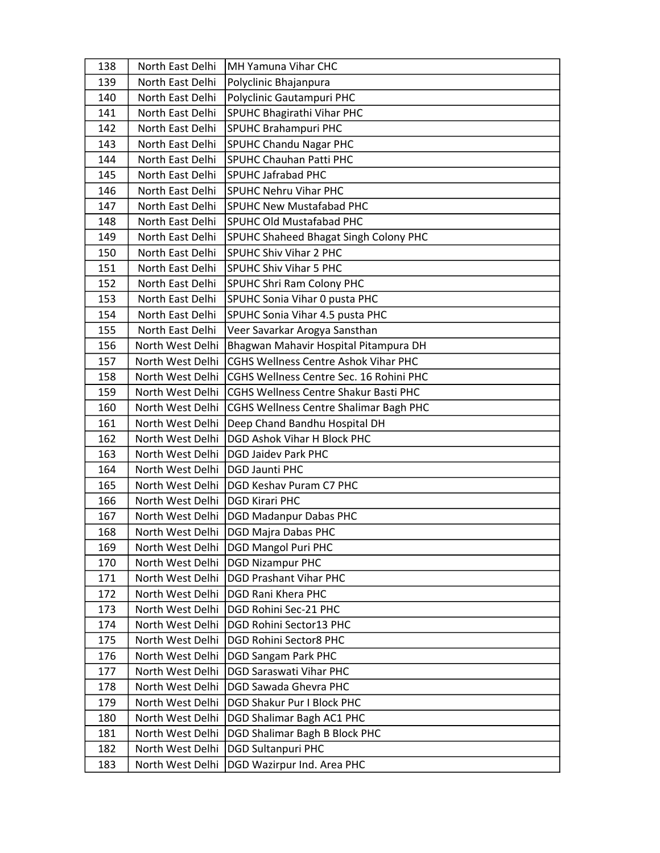| 138 | North East Delhi | MH Yamuna Vihar CHC                          |
|-----|------------------|----------------------------------------------|
| 139 | North East Delhi | Polyclinic Bhajanpura                        |
| 140 | North East Delhi | Polyclinic Gautampuri PHC                    |
| 141 | North East Delhi | SPUHC Bhagirathi Vihar PHC                   |
| 142 | North East Delhi | <b>SPUHC Brahampuri PHC</b>                  |
| 143 | North East Delhi | <b>SPUHC Chandu Nagar PHC</b>                |
| 144 | North East Delhi | <b>SPUHC Chauhan Patti PHC</b>               |
| 145 | North East Delhi | <b>SPUHC Jafrabad PHC</b>                    |
| 146 | North East Delhi | <b>SPUHC Nehru Vihar PHC</b>                 |
| 147 | North East Delhi | <b>SPUHC New Mustafabad PHC</b>              |
| 148 | North East Delhi | <b>SPUHC Old Mustafabad PHC</b>              |
| 149 | North East Delhi | SPUHC Shaheed Bhagat Singh Colony PHC        |
| 150 | North East Delhi | SPUHC Shiv Vihar 2 PHC                       |
| 151 | North East Delhi | <b>SPUHC Shiv Vihar 5 PHC</b>                |
| 152 | North East Delhi | <b>SPUHC Shri Ram Colony PHC</b>             |
| 153 | North East Delhi | SPUHC Sonia Vihar 0 pusta PHC                |
| 154 | North East Delhi | SPUHC Sonia Vihar 4.5 pusta PHC              |
| 155 | North East Delhi | Veer Savarkar Arogya Sansthan                |
| 156 | North West Delhi | Bhagwan Mahavir Hospital Pitampura DH        |
| 157 | North West Delhi | CGHS Wellness Centre Ashok Vihar PHC         |
| 158 | North West Delhi | CGHS Wellness Centre Sec. 16 Rohini PHC      |
| 159 | North West Delhi | <b>CGHS Wellness Centre Shakur Basti PHC</b> |
| 160 | North West Delhi | CGHS Wellness Centre Shalimar Bagh PHC       |
| 161 | North West Delhi | Deep Chand Bandhu Hospital DH                |
| 162 | North West Delhi | <b>DGD Ashok Vihar H Block PHC</b>           |
| 163 | North West Delhi | <b>DGD Jaidev Park PHC</b>                   |
| 164 | North West Delhi | <b>DGD Jaunti PHC</b>                        |
| 165 | North West Delhi | DGD Keshav Puram C7 PHC                      |
| 166 | North West Delhi | <b>DGD Kirari PHC</b>                        |
| 167 | North West Delhi |                                              |
| 168 |                  | <b>DGD Madanpur Dabas PHC</b>                |
|     | North West Delhi | <b>DGD Majra Dabas PHC</b>                   |
| 169 | North West Delhi | <b>DGD Mangol Puri PHC</b>                   |
| 170 | North West Delhi | <b>DGD Nizampur PHC</b>                      |
| 171 | North West Delhi | <b>DGD Prashant Vihar PHC</b>                |
| 172 | North West Delhi | <b>DGD Rani Khera PHC</b>                    |
| 173 | North West Delhi | DGD Rohini Sec-21 PHC                        |
| 174 | North West Delhi | DGD Rohini Sector13 PHC                      |
| 175 | North West Delhi | <b>DGD Rohini Sector8 PHC</b>                |
| 176 | North West Delhi | <b>DGD Sangam Park PHC</b>                   |
| 177 | North West Delhi | <b>DGD Saraswati Vihar PHC</b>               |
| 178 | North West Delhi | <b>DGD Sawada Ghevra PHC</b>                 |
| 179 | North West Delhi | DGD Shakur Pur I Block PHC                   |
| 180 | North West Delhi | DGD Shalimar Bagh AC1 PHC                    |
| 181 | North West Delhi | DGD Shalimar Bagh B Block PHC                |
| 182 | North West Delhi | <b>DGD Sultanpuri PHC</b>                    |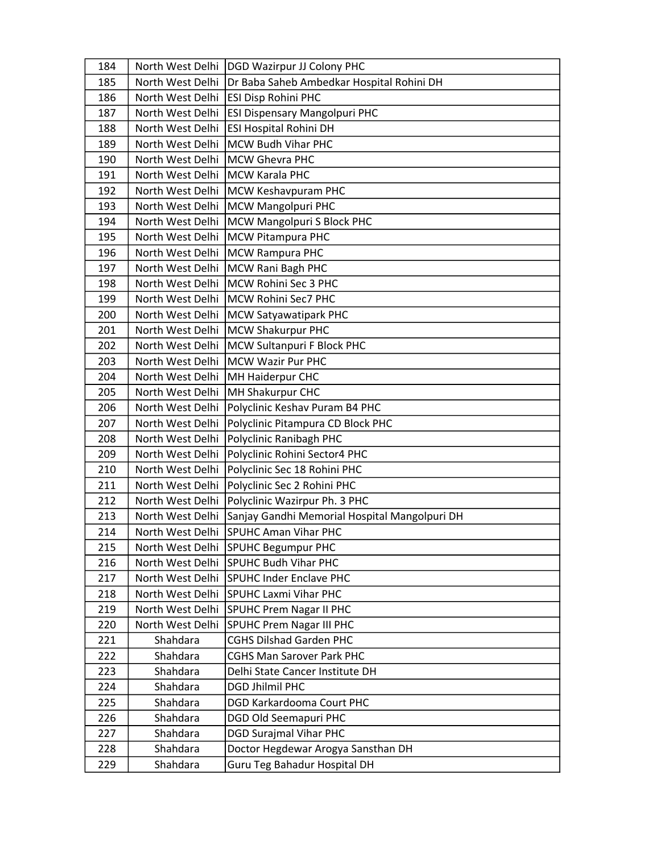| 184 |                  | North West Delhi   DGD Wazirpur JJ Colony PHC              |
|-----|------------------|------------------------------------------------------------|
| 185 |                  | North West Delhi Dr Baba Saheb Ambedkar Hospital Rohini DH |
| 186 | North West Delhi | <b>ESI Disp Rohini PHC</b>                                 |
| 187 | North West Delhi | <b>ESI Dispensary Mangolpuri PHC</b>                       |
| 188 | North West Delhi | <b>ESI Hospital Rohini DH</b>                              |
| 189 | North West Delhi | MCW Budh Vihar PHC                                         |
| 190 | North West Delhi | MCW Ghevra PHC                                             |
| 191 | North West Delhi | MCW Karala PHC                                             |
| 192 | North West Delhi | MCW Keshavpuram PHC                                        |
| 193 | North West Delhi | MCW Mangolpuri PHC                                         |
| 194 | North West Delhi | MCW Mangolpuri S Block PHC                                 |
| 195 | North West Delhi | <b>MCW Pitampura PHC</b>                                   |
| 196 | North West Delhi | <b>MCW Rampura PHC</b>                                     |
| 197 | North West Delhi | MCW Rani Bagh PHC                                          |
| 198 | North West Delhi | MCW Rohini Sec 3 PHC                                       |
| 199 | North West Delhi | MCW Rohini Sec7 PHC                                        |
| 200 | North West Delhi | MCW Satyawatipark PHC                                      |
| 201 | North West Delhi | <b>MCW Shakurpur PHC</b>                                   |
| 202 | North West Delhi | MCW Sultanpuri F Block PHC                                 |
| 203 | North West Delhi | <b>IMCW Wazir Pur PHC</b>                                  |
| 204 | North West Delhi | MH Haiderpur CHC                                           |
| 205 | North West Delhi | MH Shakurpur CHC                                           |
| 206 | North West Delhi | Polyclinic Keshav Puram B4 PHC                             |
| 207 | North West Delhi | Polyclinic Pitampura CD Block PHC                          |
| 208 | North West Delhi | Polyclinic Ranibagh PHC                                    |
| 209 | North West Delhi | Polyclinic Rohini Sector4 PHC                              |
| 210 | North West Delhi | Polyclinic Sec 18 Rohini PHC                               |
| 211 | North West Delhi | Polyclinic Sec 2 Rohini PHC                                |
| 212 | North West Delhi | Polyclinic Wazirpur Ph. 3 PHC                              |
| 213 | North West Delhi | Sanjay Gandhi Memorial Hospital Mangolpuri DH              |
| 214 | North West Delhi | <b>SPUHC Aman Vihar PHC</b>                                |
| 215 | North West Delhi | SPUHC Begumpur PHC                                         |
| 216 | North West Delhi | SPUHC Budh Vihar PHC                                       |
| 217 | North West Delhi | <b>SPUHC Inder Enclave PHC</b>                             |
| 218 | North West Delhi | <b>SPUHC Laxmi Vihar PHC</b>                               |
| 219 | North West Delhi | <b>SPUHC Prem Nagar II PHC</b>                             |
| 220 | North West Delhi | <b>SPUHC Prem Nagar III PHC</b>                            |
| 221 | Shahdara         | <b>CGHS Dilshad Garden PHC</b>                             |
| 222 | Shahdara         | <b>CGHS Man Sarover Park PHC</b>                           |
| 223 | Shahdara         | Delhi State Cancer Institute DH                            |
| 224 | Shahdara         | <b>DGD Jhilmil PHC</b>                                     |
| 225 | Shahdara         | <b>DGD Karkardooma Court PHC</b>                           |
| 226 | Shahdara         | <b>DGD Old Seemapuri PHC</b>                               |
| 227 | Shahdara         | <b>DGD Surajmal Vihar PHC</b>                              |
| 228 | Shahdara         | Doctor Hegdewar Arogya Sansthan DH                         |
| 229 | Shahdara         | Guru Teg Bahadur Hospital DH                               |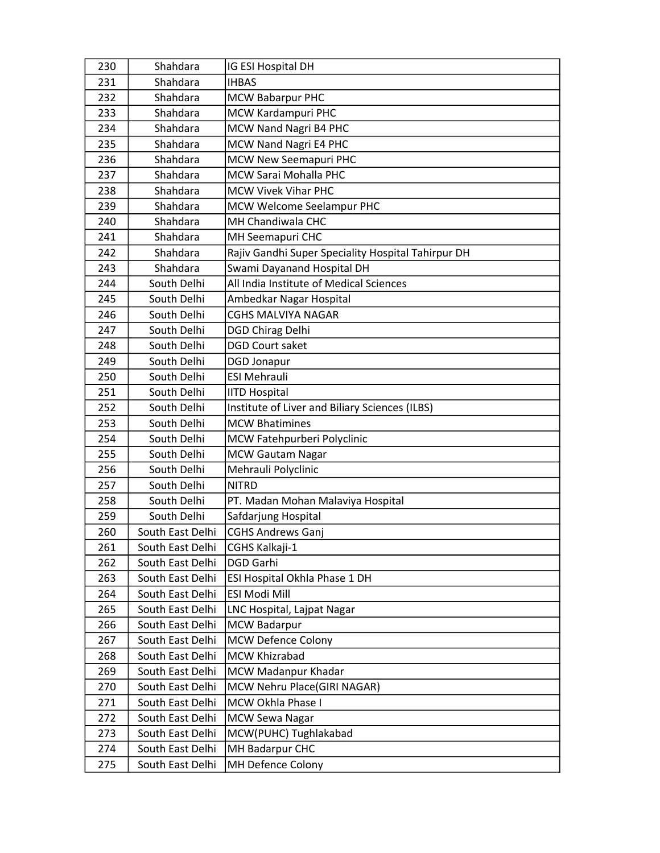| 230 | Shahdara         | IG ESI Hospital DH                                 |
|-----|------------------|----------------------------------------------------|
| 231 | Shahdara         | <b>IHBAS</b>                                       |
| 232 | Shahdara         | <b>MCW Babarpur PHC</b>                            |
| 233 | Shahdara         | MCW Kardampuri PHC                                 |
| 234 | Shahdara         | MCW Nand Nagri B4 PHC                              |
| 235 | Shahdara         | MCW Nand Nagri E4 PHC                              |
| 236 | Shahdara         | MCW New Seemapuri PHC                              |
| 237 | Shahdara         | MCW Sarai Mohalla PHC                              |
| 238 | Shahdara         | <b>MCW Vivek Vihar PHC</b>                         |
| 239 | Shahdara         | MCW Welcome Seelampur PHC                          |
| 240 | Shahdara         | MH Chandiwala CHC                                  |
| 241 | Shahdara         | MH Seemapuri CHC                                   |
| 242 | Shahdara         | Rajiv Gandhi Super Speciality Hospital Tahirpur DH |
| 243 | Shahdara         | Swami Dayanand Hospital DH                         |
| 244 | South Delhi      | All India Institute of Medical Sciences            |
| 245 | South Delhi      | Ambedkar Nagar Hospital                            |
| 246 | South Delhi      | <b>CGHS MALVIYA NAGAR</b>                          |
| 247 | South Delhi      | <b>DGD Chirag Delhi</b>                            |
| 248 | South Delhi      | <b>DGD Court saket</b>                             |
| 249 | South Delhi      | <b>DGD Jonapur</b>                                 |
| 250 | South Delhi      | <b>ESI Mehrauli</b>                                |
| 251 | South Delhi      | <b>IITD Hospital</b>                               |
| 252 | South Delhi      | Institute of Liver and Biliary Sciences (ILBS)     |
| 253 | South Delhi      | <b>MCW Bhatimines</b>                              |
| 254 | South Delhi      | MCW Fatehpurberi Polyclinic                        |
| 255 | South Delhi      | <b>MCW Gautam Nagar</b>                            |
| 256 | South Delhi      | Mehrauli Polyclinic                                |
| 257 | South Delhi      | <b>NITRD</b>                                       |
| 258 | South Delhi      | PT. Madan Mohan Malaviya Hospital                  |
| 259 | South Delhi      | Safdarjung Hospital                                |
| 260 | South East Delhi | <b>CGHS Andrews Ganj</b>                           |
| 261 | South East Delhi | CGHS Kalkaji-1                                     |
| 262 | South East Delhi | DGD Garhi                                          |
| 263 | South East Delhi | ESI Hospital Okhla Phase 1 DH                      |
| 264 | South East Delhi | <b>ESI Modi Mill</b>                               |
| 265 | South East Delhi | LNC Hospital, Lajpat Nagar                         |
| 266 | South East Delhi | <b>MCW Badarpur</b>                                |
| 267 | South East Delhi | <b>MCW Defence Colony</b>                          |
| 268 | South East Delhi | MCW Khizrabad                                      |
| 269 | South East Delhi | MCW Madanpur Khadar                                |
| 270 | South East Delhi | MCW Nehru Place(GIRI NAGAR)                        |
| 271 | South East Delhi | MCW Okhla Phase I                                  |
| 272 | South East Delhi | <b>MCW Sewa Nagar</b>                              |
| 273 | South East Delhi | MCW(PUHC) Tughlakabad                              |
| 274 | South East Delhi | MH Badarpur CHC                                    |
| 275 | South East Delhi | MH Defence Colony                                  |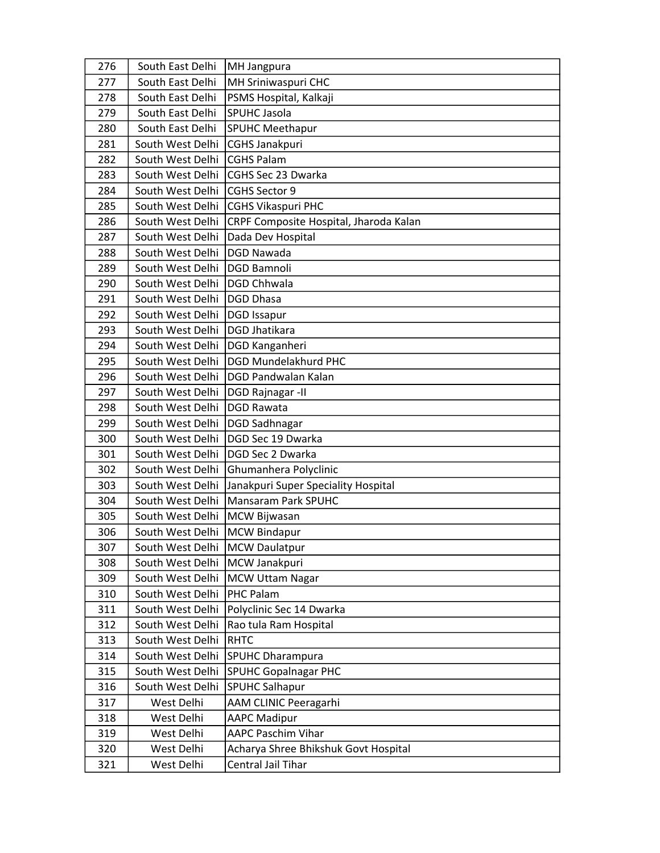| 276 | South East Delhi | <b>MH</b> Jangpura                     |
|-----|------------------|----------------------------------------|
| 277 | South East Delhi | MH Sriniwaspuri CHC                    |
| 278 | South East Delhi | PSMS Hospital, Kalkaji                 |
| 279 | South East Delhi | <b>SPUHC Jasola</b>                    |
| 280 | South East Delhi | <b>SPUHC Meethapur</b>                 |
| 281 | South West Delhi | CGHS Janakpuri                         |
| 282 | South West Delhi | <b>CGHS Palam</b>                      |
| 283 | South West Delhi | CGHS Sec 23 Dwarka                     |
| 284 | South West Delhi | CGHS Sector 9                          |
| 285 | South West Delhi | <b>CGHS Vikaspuri PHC</b>              |
| 286 | South West Delhi | CRPF Composite Hospital, Jharoda Kalan |
| 287 | South West Delhi | Dada Dev Hospital                      |
| 288 | South West Delhi | <b>DGD Nawada</b>                      |
| 289 | South West Delhi | <b>DGD Bamnoli</b>                     |
| 290 | South West Delhi | <b>DGD Chhwala</b>                     |
| 291 | South West Delhi | DGD Dhasa                              |
| 292 | South West Delhi | <b>DGD Issapur</b>                     |
| 293 | South West Delhi | <b>DGD Jhatikara</b>                   |
| 294 | South West Delhi | DGD Kanganheri                         |
| 295 | South West Delhi | <b>DGD Mundelakhurd PHC</b>            |
| 296 | South West Delhi | <b>DGD Pandwalan Kalan</b>             |
| 297 | South West Delhi | <b>DGD Rajnagar-II</b>                 |
| 298 | South West Delhi | <b>DGD Rawata</b>                      |
| 299 | South West Delhi | <b>DGD Sadhnagar</b>                   |
| 300 | South West Delhi | DGD Sec 19 Dwarka                      |
| 301 | South West Delhi | DGD Sec 2 Dwarka                       |
| 302 | South West Delhi | Ghumanhera Polyclinic                  |
| 303 | South West Delhi | Janakpuri Super Speciality Hospital    |
| 304 | South West Delhi | <b>Mansaram Park SPUHC</b>             |
| 305 | South West Delhi | <b>MCW Bijwasan</b>                    |
| 306 | South West Delhi | <b>MCW Bindapur</b>                    |
| 307 | South West Delhi | MCW Daulatpur                          |
| 308 | South West Delhi | MCW Janakpuri                          |
| 309 | South West Delhi | <b>MCW Uttam Nagar</b>                 |
| 310 | South West Delhi | <b>PHC Palam</b>                       |
| 311 | South West Delhi | Polyclinic Sec 14 Dwarka               |
| 312 | South West Delhi | Rao tula Ram Hospital                  |
| 313 | South West Delhi | <b>RHTC</b>                            |
| 314 | South West Delhi | <b>SPUHC Dharampura</b>                |
| 315 | South West Delhi | <b>SPUHC Gopalnagar PHC</b>            |
| 316 | South West Delhi | <b>SPUHC Salhapur</b>                  |
| 317 | West Delhi       | AAM CLINIC Peeragarhi                  |
| 318 | West Delhi       | <b>AAPC Madipur</b>                    |
| 319 | West Delhi       | <b>AAPC Paschim Vihar</b>              |
| 320 | West Delhi       | Acharya Shree Bhikshuk Govt Hospital   |
| 321 | West Delhi       | Central Jail Tihar                     |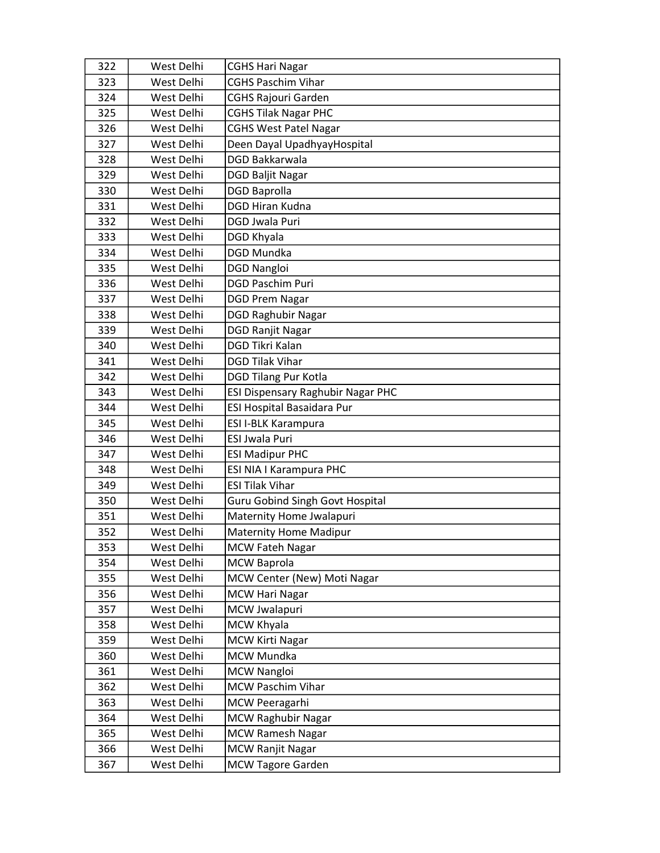| 322 | West Delhi | <b>CGHS Hari Nagar</b>                 |
|-----|------------|----------------------------------------|
| 323 | West Delhi | <b>CGHS Paschim Vihar</b>              |
| 324 | West Delhi | <b>CGHS Rajouri Garden</b>             |
| 325 | West Delhi | <b>CGHS Tilak Nagar PHC</b>            |
| 326 | West Delhi | <b>CGHS West Patel Nagar</b>           |
| 327 | West Delhi | Deen Dayal UpadhyayHospital            |
| 328 | West Delhi | DGD Bakkarwala                         |
| 329 | West Delhi | <b>DGD Baljit Nagar</b>                |
| 330 | West Delhi | <b>DGD Baprolla</b>                    |
| 331 | West Delhi | DGD Hiran Kudna                        |
| 332 | West Delhi | <b>DGD Jwala Puri</b>                  |
| 333 | West Delhi | DGD Khyala                             |
| 334 | West Delhi | <b>DGD Mundka</b>                      |
| 335 | West Delhi | <b>DGD Nangloi</b>                     |
| 336 | West Delhi | <b>DGD Paschim Puri</b>                |
| 337 | West Delhi | <b>DGD Prem Nagar</b>                  |
| 338 | West Delhi | <b>DGD Raghubir Nagar</b>              |
| 339 | West Delhi | <b>DGD Ranjit Nagar</b>                |
| 340 | West Delhi | <b>DGD Tikri Kalan</b>                 |
| 341 | West Delhi | <b>DGD Tilak Vihar</b>                 |
| 342 | West Delhi | <b>DGD Tilang Pur Kotla</b>            |
| 343 | West Delhi | ESI Dispensary Raghubir Nagar PHC      |
| 344 | West Delhi | ESI Hospital Basaidara Pur             |
| 345 | West Delhi | <b>ESI I-BLK Karampura</b>             |
| 346 | West Delhi | <b>ESI Jwala Puri</b>                  |
| 347 | West Delhi | <b>ESI Madipur PHC</b>                 |
| 348 | West Delhi | ESI NIA I Karampura PHC                |
| 349 | West Delhi | <b>ESI Tilak Vihar</b>                 |
| 350 | West Delhi | <b>Guru Gobind Singh Govt Hospital</b> |
| 351 | West Delhi | Maternity Home Jwalapuri               |
| 352 | West Delhi | <b>Maternity Home Madipur</b>          |
| 353 | West Delhi | MCW Fateh Nagar                        |
| 354 | West Delhi | <b>MCW Baprola</b>                     |
| 355 | West Delhi | MCW Center (New) Moti Nagar            |
| 356 | West Delhi | <b>MCW Hari Nagar</b>                  |
| 357 | West Delhi | MCW Jwalapuri                          |
| 358 | West Delhi | MCW Khyala                             |
| 359 | West Delhi | <b>MCW Kirti Nagar</b>                 |
| 360 | West Delhi | MCW Mundka                             |
| 361 | West Delhi | <b>MCW Nangloi</b>                     |
| 362 | West Delhi | <b>MCW Paschim Vihar</b>               |
| 363 | West Delhi | MCW Peeragarhi                         |
| 364 | West Delhi | <b>MCW Raghubir Nagar</b>              |
| 365 | West Delhi | <b>MCW Ramesh Nagar</b>                |
| 366 | West Delhi | <b>MCW Ranjit Nagar</b>                |
| 367 | West Delhi | <b>MCW Tagore Garden</b>               |